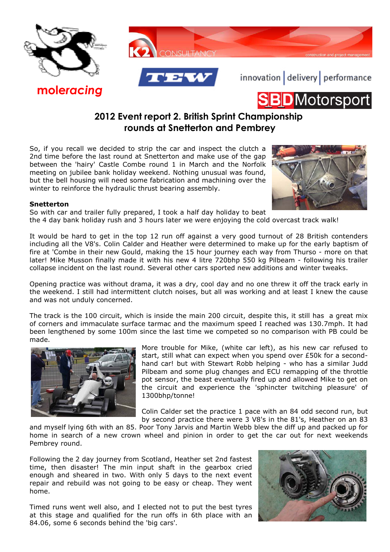

**mole***racing*





innovation delivery performance



## **2012 Event report 2. British Sprint Championship rounds at Snetterton and Pembrey**

So, if you recall we decided to strip the car and inspect the clutch a 2nd time before the last round at Snetterton and make use of the gap between the 'hairy' Castle Combe round 1 in March and the Norfolk meeting on jubilee bank holiday weekend. Nothing unusual was found, but the bell housing will need some fabrication and machining over the winter to reinforce the hydraulic thrust bearing assembly.



## **Snetterton**

So with car and trailer fully prepared, I took a half day holiday to beat the 4 day bank holiday rush and 3 hours later we were enjoying the cold overcast track walk!

It would be hard to get in the top 12 run off against a very good turnout of 28 British contenders including all the V8's. Colin Calder and Heather were determined to make up for the early baptism of fire at 'Combe in their new Gould, making the 15 hour journey each way from Thurso - more on that later! Mike Musson finally made it with his new 4 litre 720bhp 550 kg Pilbeam - following his trailer collapse incident on the last round. Several other cars sported new additions and winter tweaks.

Opening practice was without drama, it was a dry, cool day and no one threw it off the track early in the weekend. I still had intermittent clutch noises, but all was working and at least I knew the cause and was not unduly concerned.

The track is the 100 circuit, which is inside the main 200 circuit, despite this, it still has a great mix of corners and immaculate surface tarmac and the maximum speed I reached was 130.7mph. It had been lengthened by some 100m since the last time we competed so no comparison with PB could be made.



More trouble for Mike, (white car left), as his new car refused to start, still what can expect when you spend over £50k for a secondhand car! but with Stewart Robb helping - who has a similar Judd Pilbeam and some plug changes and ECU remapping of the throttle pot sensor, the beast eventually fired up and allowed Mike to get on the circuit and experience the 'sphincter twitching pleasure' of 1300bhp/tonne!

Colin Calder set the practice 1 pace with an 84 odd second run, but by second practice there were 3 V8's in the 81's, Heather on an 83

and myself lying 6th with an 85. Poor Tony Jarvis and Martin Webb blew the diff up and packed up for home in search of a new crown wheel and pinion in order to get the car out for next weekends Pembrey round.

Following the 2 day journey from Scotland, Heather set 2nd fastest time, then disaster! The min input shaft in the gearbox cried enough and sheared in two. With only 5 days to the next event repair and rebuild was not going to be easy or cheap. They went home.

Timed runs went well also, and I elected not to put the best tyres at this stage and qualified for the run offs in 6th place with an 84.06, some 6 seconds behind the 'big cars'.

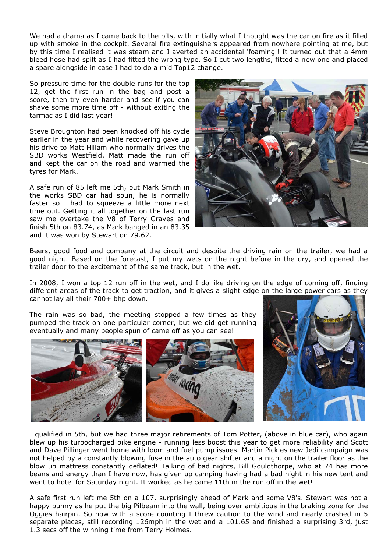We had a drama as I came back to the pits, with initially what I thought was the car on fire as it filled up with smoke in the cockpit. Several fire extinguishers appeared from nowhere pointing at me, but by this time I realised it was steam and I averted an accidental 'foaming'! It turned out that a 4mm bleed hose had spilt as I had fitted the wrong type. So I cut two lengths, fitted a new one and placed a spare alongside in case I had to do a mid Top12 change.

So pressure time for the double runs for the top 12, get the first run in the bag and post a score, then try even harder and see if you can shave some more time off - without exiting the tarmac as I did last year!

Steve Broughton had been knocked off his cycle earlier in the year and while recovering gave up his drive to Matt Hillam who normally drives the SBD works Westfield. Matt made the run off and kept the car on the road and warmed the tyres for Mark.

A safe run of 85 left me 5th, but Mark Smith in the works SBD car had spun, he is normally faster so I had to squeeze a little more next time out. Getting it all together on the last run saw me overtake the V8 of Terry Graves and finish 5th on 83.74, as Mark banged in an 83.35 and it was won by Stewart on 79.62.



Beers, good food and company at the circuit and despite the driving rain on the trailer, we had a good night. Based on the forecast, I put my wets on the night before in the dry, and opened the trailer door to the excitement of the same track, but in the wet.

In 2008, I won a top 12 run off in the wet, and I do like driving on the edge of coming off, finding different areas of the track to get traction, and it gives a slight edge on the large power cars as they cannot lay all their 700+ bhp down.

The rain was so bad, the meeting stopped a few times as they pumped the track on one particular corner, but we did get running eventually and many people spun of came off as you can see!



I qualified in 5th, but we had three major retirements of Tom Potter, (above in blue car), who again blew up his turbocharged bike engine - running less boost this year to get more reliability and Scott and Dave Pillinger went home with loom and fuel pump issues. Martin Pickles new Jedi campaign was not helped by a constantly blowing fuse in the auto gear shifter and a night on the trailer floor as the blow up mattress constantly deflated! Talking of bad nights, Bill Gouldthorpe, who at 74 has more beans and energy than I have now, has given up camping having had a bad night in his new tent and went to hotel for Saturday night. It worked as he came 11th in the run off in the wet!

A safe first run left me 5th on a 107, surprisingly ahead of Mark and some V8's. Stewart was not a happy bunny as he put the big Pilbeam into the wall, being over ambitious in the braking zone for the Oggies hairpin. So now with a score counting I threw caution to the wind and nearly crashed in 5 separate places, still recording 126mph in the wet and a 101.65 and finished a surprising 3rd, just 1.3 secs off the winning time from Terry Holmes.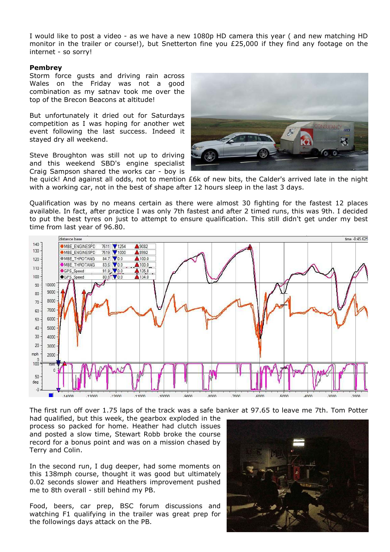I would like to post a video - as we have a new 1080p HD camera this year ( and new matching HD monitor in the trailer or course!), but Snetterton fine you £25,000 if they find any footage on the internet - so sorry!

## **Pembrey**

Storm force gusts and driving rain across Wales on the Friday was not a good combination as my satnav took me over the top of the Brecon Beacons at altitude!

But unfortunately it dried out for Saturdays competition as I was hoping for another wet event following the last success. Indeed it stayed dry all weekend.

Steve Broughton was still not up to driving and this weekend SBD's engine specialist Craig Sampson shared the works car - boy is



he quick! And against all odds, not to mention £6k of new bits, the Calder's arrived late in the night with a working car, not in the best of shape after 12 hours sleep in the last 3 days.

Qualification was by no means certain as there were almost 30 fighting for the fastest 12 places available. In fact, after practice I was only 7th fastest and after 2 timed runs, this was 9th. I decided to put the best tyres on just to attempt to ensure qualification. This still didn't get under my best time from last year of 96.80.



The first run off over 1.75 laps of the track was a safe banker at 97.65 to leave me 7th. Tom Potter

had qualified, but this week, the gearbox exploded in the process so packed for home. Heather had clutch issues and posted a slow time, Stewart Robb broke the course record for a bonus point and was on a mission chased by Terry and Colin.

In the second run, I dug deeper, had some moments on this 138mph course, thought it was good but ultimately 0.02 seconds slower and Heathers improvement pushed me to 8th overall - still behind my PB.

Food, beers, car prep, BSC forum discussions and watching F1 qualifying in the trailer was great prep for the followings days attack on the PB.